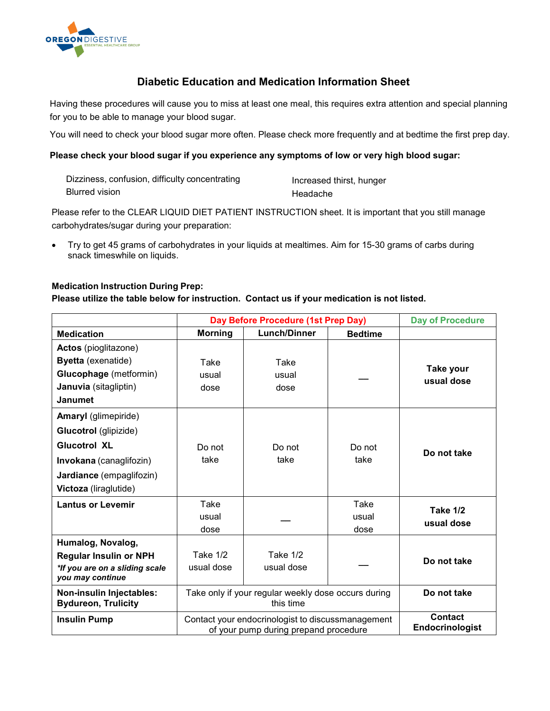

# **Diabetic Education and Medication Information Sheet**

Having these procedures will cause you to miss at least one meal, this requires extra attention and special planning for you to be able to manage your blood sugar.

You will need to check your blood sugar more often. Please check more frequently and at bedtime the first prep day.

### **Please check your blood sugar if you experience any symptoms of low or very high blood sugar:**

| Dizziness, confusion, difficulty concentrating | Increased thirst, hunger |
|------------------------------------------------|--------------------------|
| <b>Blurred vision</b>                          | Headache                 |

Please refer to the CLEAR LIQUID DIET PATIENT INSTRUCTION sheet. It is important that you still manage carbohydrates/sugar during your preparation:

• Try to get 45 grams of carbohydrates in your liquids at mealtimes. Aim for 15-30 grams of carbs during snack timeswhile on liquids.

### **Medication Instruction During Prep:**

**Please utilize the table below for instruction. Contact us if your medication is not listed.**

|                                                                                                                                                             | Day Before Procedure (1st Prep Day)                                                        |                        |                       | <b>Day of Procedure</b>           |
|-------------------------------------------------------------------------------------------------------------------------------------------------------------|--------------------------------------------------------------------------------------------|------------------------|-----------------------|-----------------------------------|
| <b>Medication</b>                                                                                                                                           | <b>Morning</b>                                                                             | <b>Lunch/Dinner</b>    | <b>Bedtime</b>        |                                   |
| <b>Actos</b> (pioglitazone)<br><b>Byetta</b> (exenatide)<br><b>Glucophage</b> (metformin)<br>Januvia (sitagliptin)<br><b>Janumet</b>                        | Take<br>usual<br>dose                                                                      | Take<br>usual<br>dose  |                       | Take your<br>usual dose           |
| <b>Amaryl</b> (glimepiride)<br>Glucotrol (glipizide)<br><b>Glucotrol XL</b><br>Invokana (canaglifozin)<br>Jardiance (empaglifozin)<br>Victoza (liraglutide) | Do not<br>take                                                                             | Do not<br>take         | Do not<br>take        | Do not take                       |
| <b>Lantus or Levemir</b>                                                                                                                                    | Take<br>usual<br>dose                                                                      |                        | Take<br>usual<br>dose | <b>Take 1/2</b><br>usual dose     |
| Humalog, Novalog,<br><b>Regular Insulin or NPH</b><br>*If you are on a sliding scale<br>you may continue                                                    | Take 1/2<br>usual dose                                                                     | Take 1/2<br>usual dose |                       | Do not take                       |
| Non-insulin Injectables:<br><b>Bydureon, Trulicity</b>                                                                                                      | Take only if your regular weekly dose occurs during<br>this time                           |                        |                       | Do not take                       |
| <b>Insulin Pump</b>                                                                                                                                         | Contact your endocrinologist to discussmanagement<br>of your pump during prepand procedure |                        |                       | <b>Contact</b><br>Endocrinologist |